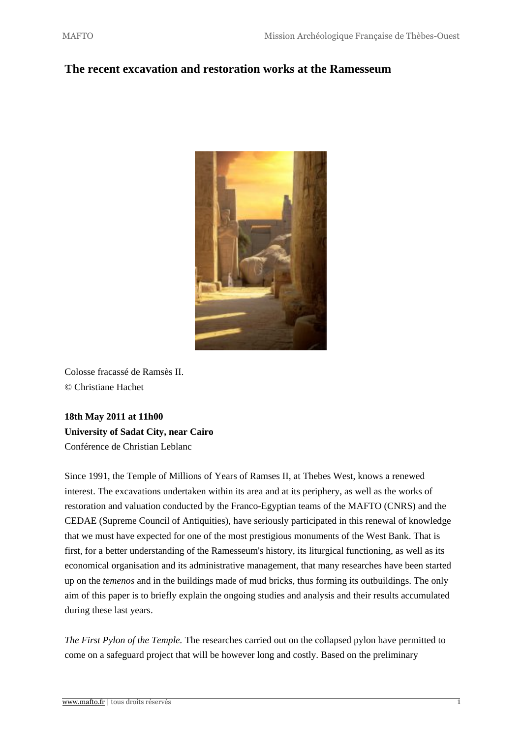## **The recent excavation and restoration works at the Ramesseum**



Colosse fracassé de Ramsès II. © Christiane Hachet

**18th May 2011 at 11h00 University of Sadat City, near Cairo** Conférence de Christian Leblanc

Since 1991, the Temple of Millions of Years of Ramses II, at Thebes West, knows a renewed interest. The excavations undertaken within its area and at its periphery, as well as the works of restoration and valuation conducted by the Franco-Egyptian teams of the MAFTO (CNRS) and the CEDAE (Supreme Council of Antiquities), have seriously participated in this renewal of knowledge that we must have expected for one of the most prestigious monuments of the West Bank. That is first, for a better understanding of the Ramesseum's history, its liturgical functioning, as well as its economical organisation and its administrative management, that many researches have been started up on the *temenos* and in the buildings made of mud bricks, thus forming its outbuildings. The only aim of this paper is to briefly explain the ongoing studies and analysis and their results accumulated during these last years.

*The First Pylon of the Temple.* The researches carried out on the collapsed pylon have permitted to come on a safeguard project that will be however long and costly. Based on the preliminary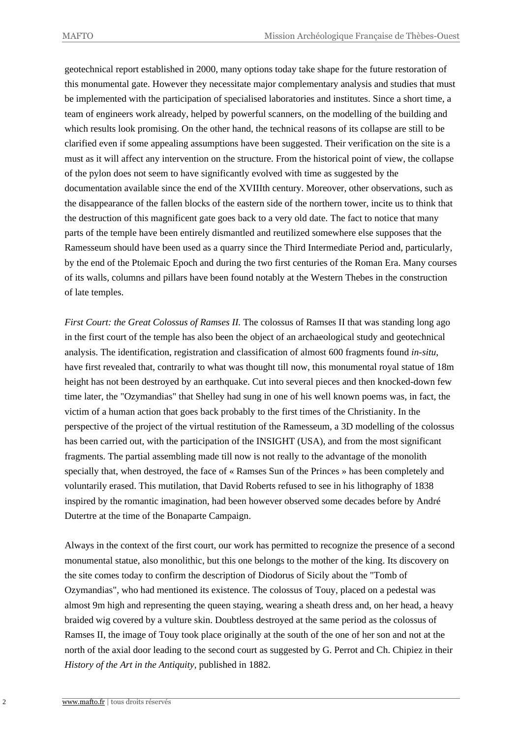geotechnical report established in 2000, many options today take shape for the future restoration of this monumental gate. However they necessitate major complementary analysis and studies that must be implemented with the participation of specialised laboratories and institutes. Since a short time, a team of engineers work already, helped by powerful scanners, on the modelling of the building and which results look promising. On the other hand, the technical reasons of its collapse are still to be clarified even if some appealing assumptions have been suggested. Their verification on the site is a must as it will affect any intervention on the structure. From the historical point of view, the collapse of the pylon does not seem to have significantly evolved with time as suggested by the documentation available since the end of the XVIIIth century. Moreover, other observations, such as the disappearance of the fallen blocks of the eastern side of the northern tower, incite us to think that the destruction of this magnificent gate goes back to a very old date. The fact to notice that many parts of the temple have been entirely dismantled and reutilized somewhere else supposes that the Ramesseum should have been used as a quarry since the Third Intermediate Period and, particularly, by the end of the Ptolemaic Epoch and during the two first centuries of the Roman Era. Many courses of its walls, columns and pillars have been found notably at the Western Thebes in the construction of late temples.

*First Court: the Great Colossus of Ramses II.* The colossus of Ramses II that was standing long ago in the first court of the temple has also been the object of an archaeological study and geotechnical analysis. The identification, registration and classification of almost 600 fragments found *in-situ*, have first revealed that, contrarily to what was thought till now, this monumental royal statue of 18m height has not been destroyed by an earthquake. Cut into several pieces and then knocked-down few time later, the "Ozymandias" that Shelley had sung in one of his well known poems was, in fact, the victim of a human action that goes back probably to the first times of the Christianity. In the perspective of the project of the virtual restitution of the Ramesseum, a 3D modelling of the colossus has been carried out, with the participation of the INSIGHT (USA), and from the most significant fragments. The partial assembling made till now is not really to the advantage of the monolith specially that, when destroyed, the face of « Ramses Sun of the Princes » has been completely and voluntarily erased. This mutilation, that David Roberts refused to see in his lithography of 1838 inspired by the romantic imagination, had been however observed some decades before by André Dutertre at the time of the Bonaparte Campaign.

Always in the context of the first court, our work has permitted to recognize the presence of a second monumental statue, also monolithic, but this one belongs to the mother of the king. Its discovery on the site comes today to confirm the description of Diodorus of Sicily about the "Tomb of Ozymandias", who had mentioned its existence. The colossus of Touy, placed on a pedestal was almost 9m high and representing the queen staying, wearing a sheath dress and, on her head, a heavy braided wig covered by a vulture skin. Doubtless destroyed at the same period as the colossus of Ramses II, the image of Touy took place originally at the south of the one of her son and not at the north of the axial door leading to the second court as suggested by G. Perrot and Ch. Chipiez in their *History of the Art in the Antiquity*, published in 1882.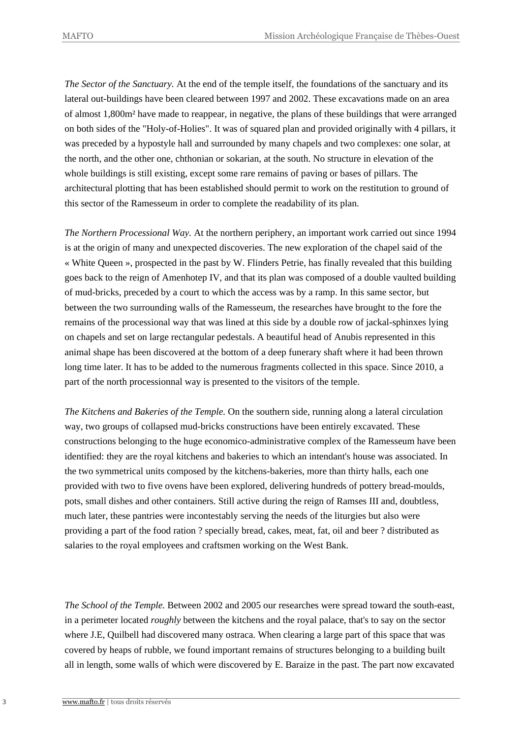*The Sector of the Sanctuary.* At the end of the temple itself, the foundations of the sanctuary and its lateral out-buildings have been cleared between 1997 and 2002. These excavations made on an area of almost 1,800m² have made to reappear, in negative, the plans of these buildings that were arranged on both sides of the "Holy-of-Holies". It was of squared plan and provided originally with 4 pillars, it was preceded by a hypostyle hall and surrounded by many chapels and two complexes: one solar, at the north, and the other one, chthonian or sokarian, at the south. No structure in elevation of the whole buildings is still existing, except some rare remains of paving or bases of pillars. The architectural plotting that has been established should permit to work on the restitution to ground of this sector of the Ramesseum in order to complete the readability of its plan.

*The Northern Processional Way.* At the northern periphery, an important work carried out since 1994 is at the origin of many and unexpected discoveries. The new exploration of the chapel said of the « White Queen », prospected in the past by W. Flinders Petrie, has finally revealed that this building goes back to the reign of Amenhotep IV, and that its plan was composed of a double vaulted building of mud-bricks, preceded by a court to which the access was by a ramp. In this same sector, but between the two surrounding walls of the Ramesseum, the researches have brought to the fore the remains of the processional way that was lined at this side by a double row of jackal-sphinxes lying on chapels and set on large rectangular pedestals. A beautiful head of Anubis represented in this animal shape has been discovered at the bottom of a deep funerary shaft where it had been thrown long time later. It has to be added to the numerous fragments collected in this space. Since 2010, a part of the north processionnal way is presented to the visitors of the temple.

*The Kitchens and Bakeries of the Temple.* On the southern side, running along a lateral circulation way, two groups of collapsed mud-bricks constructions have been entirely excavated. These constructions belonging to the huge economico-administrative complex of the Ramesseum have been identified: they are the royal kitchens and bakeries to which an intendant's house was associated. In the two symmetrical units composed by the kitchens-bakeries, more than thirty halls, each one provided with two to five ovens have been explored, delivering hundreds of pottery bread-moulds, pots, small dishes and other containers. Still active during the reign of Ramses III and, doubtless, much later, these pantries were incontestably serving the needs of the liturgies but also were providing a part of the food ration ? specially bread, cakes, meat, fat, oil and beer ? distributed as salaries to the royal employees and craftsmen working on the West Bank.

*The School of the Temple.* Between 2002 and 2005 our researches were spread toward the south-east, in a perimeter located *roughly* between the kitchens and the royal palace, that's to say on the sector where J.E, Quilbell had discovered many ostraca. When clearing a large part of this space that was covered by heaps of rubble, we found important remains of structures belonging to a building built all in length, some walls of which were discovered by E. Baraize in the past. The part now excavated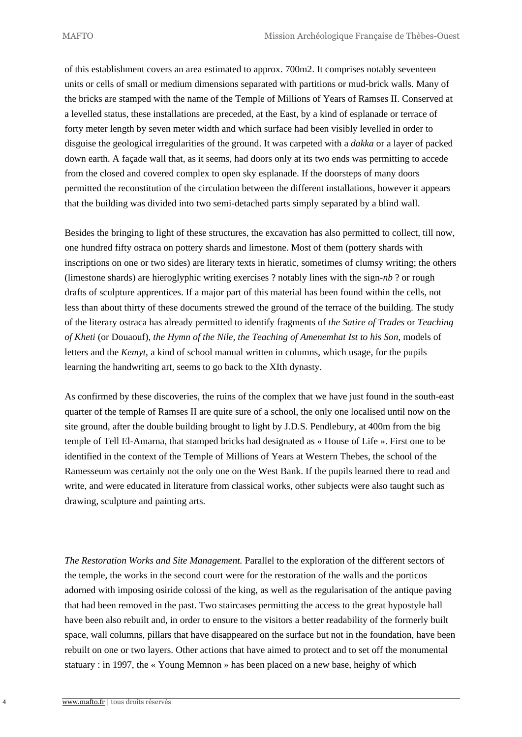of this establishment covers an area estimated to approx. 700m2. It comprises notably seventeen units or cells of small or medium dimensions separated with partitions or mud-brick walls. Many of the bricks are stamped with the name of the Temple of Millions of Years of Ramses II. Conserved at a levelled status, these installations are preceded, at the East, by a kind of esplanade or terrace of forty meter length by seven meter width and which surface had been visibly levelled in order to disguise the geological irregularities of the ground. It was carpeted with a *dakka* or a layer of packed down earth. A façade wall that, as it seems, had doors only at its two ends was permitting to accede from the closed and covered complex to open sky esplanade. If the doorsteps of many doors permitted the reconstitution of the circulation between the different installations, however it appears that the building was divided into two semi-detached parts simply separated by a blind wall.

Besides the bringing to light of these structures, the excavation has also permitted to collect, till now, one hundred fifty ostraca on pottery shards and limestone. Most of them (pottery shards with inscriptions on one or two sides) are literary texts in hieratic, sometimes of clumsy writing; the others (limestone shards) are hieroglyphic writing exercises ? notably lines with the sign-*nb* ? or rough drafts of sculpture apprentices. If a major part of this material has been found within the cells, not less than about thirty of these documents strewed the ground of the terrace of the building. The study of the literary ostraca has already permitted to identify fragments of *the Satire of Trades* or *Teaching of Kheti* (or Douaouf), *the Hymn of the Nile, the Teaching of Amenemhat Ist to his Son*, models of letters and the *Kemyt*, a kind of school manual written in columns, which usage, for the pupils learning the handwriting art, seems to go back to the XIth dynasty.

As confirmed by these discoveries, the ruins of the complex that we have just found in the south-east quarter of the temple of Ramses II are quite sure of a school, the only one localised until now on the site ground, after the double building brought to light by J.D.S. Pendlebury, at 400m from the big temple of Tell El-Amarna, that stamped bricks had designated as « House of Life ». First one to be identified in the context of the Temple of Millions of Years at Western Thebes, the school of the Ramesseum was certainly not the only one on the West Bank. If the pupils learned there to read and write, and were educated in literature from classical works, other subjects were also taught such as drawing, sculpture and painting arts.

*The Restoration Works and Site Management.* Parallel to the exploration of the different sectors of the temple, the works in the second court were for the restoration of the walls and the porticos adorned with imposing osiride colossi of the king, as well as the regularisation of the antique paving that had been removed in the past. Two staircases permitting the access to the great hypostyle hall have been also rebuilt and, in order to ensure to the visitors a better readability of the formerly built space, wall columns, pillars that have disappeared on the surface but not in the foundation, have been rebuilt on one or two layers. Other actions that have aimed to protect and to set off the monumental statuary : in 1997, the « Young Memnon » has been placed on a new base, heighy of which